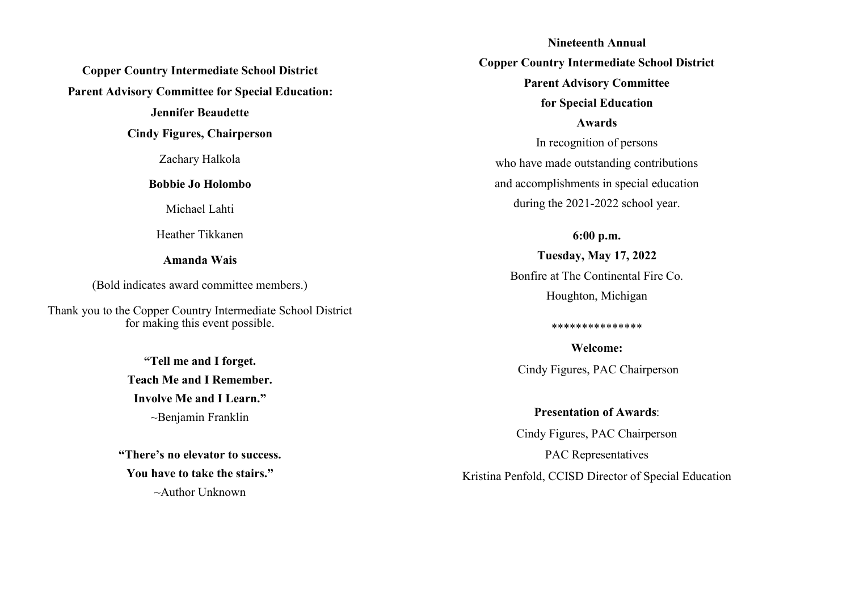**Copper Country Intermediate School District Parent Advisory Committee for Special Education: Jennifer Beaudette**

**Cindy Figures, Chairperson**

Zachary Halkola

**Bobbie Jo Holombo**

Michael Lahti

Heather Tikkanen

**Amanda Wais**

(Bold indicates award committee members.)

Thank you to the Copper Country Intermediate School District for making this event possible.

> **"Tell me and I forget. Teach Me and I Remember. Involve Me and I Learn."** ~Benjamin Franklin

**"There's no elevator to success. You have to take the stairs."** ~Author Unknown

**Nineteenth Annual Copper Country Intermediate School District Parent Advisory Committee for Special Education Awards**  In recognition of persons who have made outstanding contributions and accomplishments in special education during the 2021-2022 school year.

## **6:00 p.m.**

# **Tuesday, May 17, 2022** Bonfire at The Continental Fire Co. Houghton, Michigan

#### \*\*\*\*\*\*\*\*\*\*\*\*\*\*\*

**Welcome:**  Cindy Figures, PAC Chairperson

**Presentation of Awards**:

Cindy Figures, PAC Chairperson

PAC Representatives

Kristina Penfold, CCISD Director of Special Education